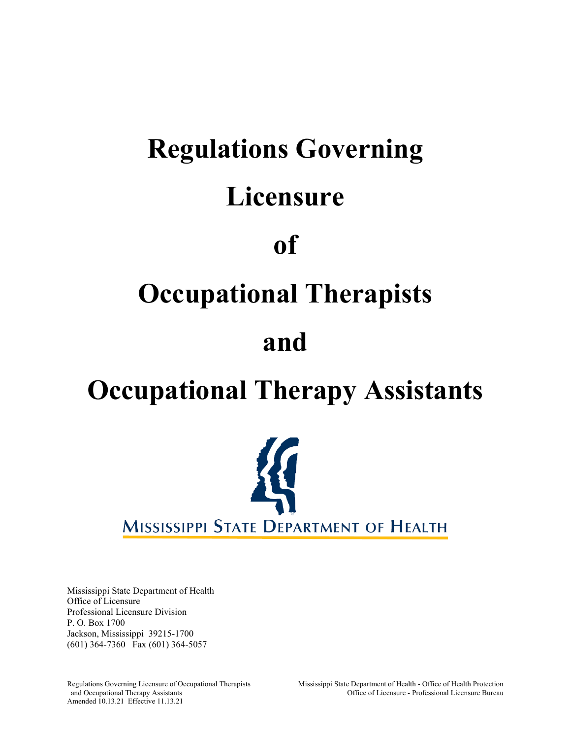# **Regulations Governing Licensure of Occupational Therapists**

# **and**

# **Occupational Therapy Assistants**



Mississippi State Department of Health Office of Licensure Professional Licensure Division P. O. Box 1700 Jackson, Mississippi 39215-1700 (601) 364-7360 Fax (601) 364-5057

Amended 10.13.21 Effective 11.13.21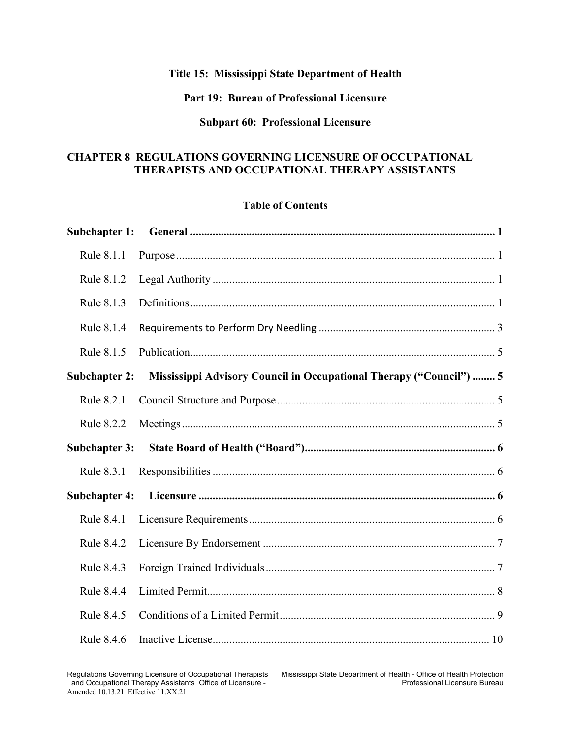# **Title 15: Mississippi State Department of Health**

#### **Part 19: Bureau of Professional Licensure**

#### **Subpart 60: Professional Licensure**

#### **CHAPTER 8 REGULATIONS GOVERNING LICENSURE OF OCCUPATIONAL THERAPISTS AND OCCUPATIONAL THERAPY ASSISTANTS**

#### **Table of Contents**

| Subchapter 1:        |                                                                     |  |
|----------------------|---------------------------------------------------------------------|--|
| Rule 8.1.1           |                                                                     |  |
| Rule 8.1.2           |                                                                     |  |
| Rule 8.1.3           |                                                                     |  |
| Rule 8.1.4           |                                                                     |  |
| Rule 8.1.5           |                                                                     |  |
| <b>Subchapter 2:</b> | Mississippi Advisory Council in Occupational Therapy ("Council")  5 |  |
| Rule 8.2.1           |                                                                     |  |
| Rule 8.2.2           |                                                                     |  |
|                      |                                                                     |  |
| <b>Subchapter 3:</b> |                                                                     |  |
| Rule 8.3.1           |                                                                     |  |
| <b>Subchapter 4:</b> |                                                                     |  |
| Rule 8.4.1           |                                                                     |  |
| Rule 8.4.2           |                                                                     |  |
| Rule 8.4.3           |                                                                     |  |
| Rule 8.4.4           |                                                                     |  |
| Rule 8.4.5           |                                                                     |  |

Regulations Governing Licensure of Occupational Therapists Mississippi State Department of Health - Office of Health Protection<br>and Occupational Therapy Assistants Office of Licensure -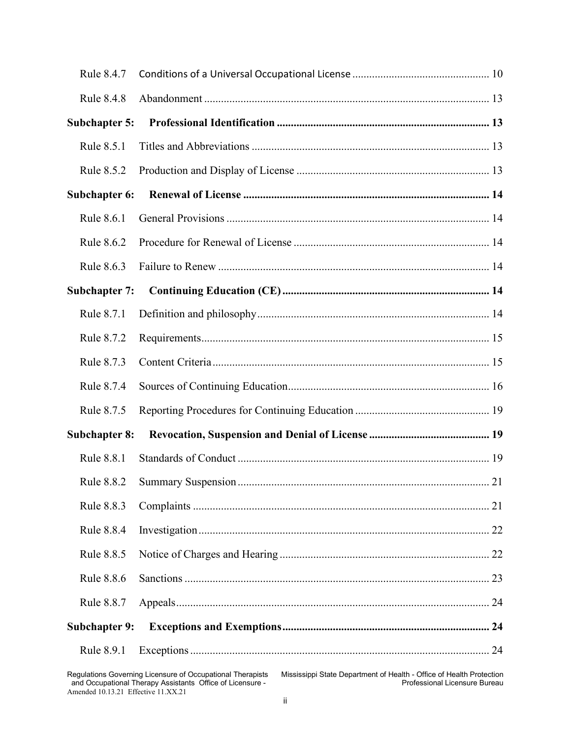| Rule 8.4.7           |    |
|----------------------|----|
| Rule 8.4.8           |    |
| <b>Subchapter 5:</b> |    |
| Rule 8.5.1           |    |
| Rule 8.5.2           |    |
| Subchapter 6:        |    |
| Rule 8.6.1           |    |
| Rule 8.6.2           |    |
| Rule 8.6.3           |    |
| <b>Subchapter 7:</b> |    |
| Rule 8.7.1           |    |
| Rule 8.7.2           |    |
| Rule 8.7.3           |    |
| Rule 8.7.4           |    |
| Rule 8.7.5           |    |
| <b>Subchapter 8:</b> |    |
| Rule 8.8.1           |    |
|                      | 21 |
| Rule 8.8.3           |    |
| Rule 8.8.4           |    |
| Rule 8.8.5           |    |
| Rule 8.8.6           |    |
| Rule 8.8.7           |    |
| <b>Subchapter 9:</b> |    |
| Rule 8.9.1           |    |

Mississippi State Department of Health - Office of Health Protection<br>Professional Licensure Bureau and Occupational Therapy Assistants Office of Licensure - Professional Licensure Bureau ـ Professional Licensure Bureau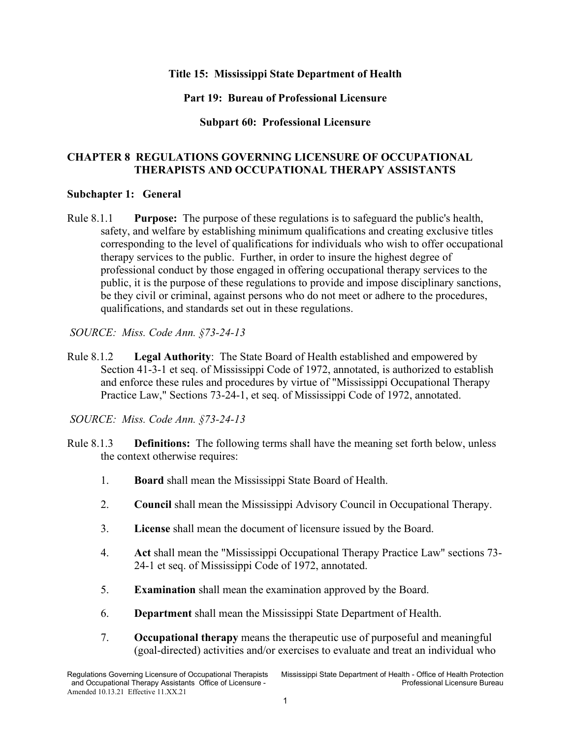#### **Title 15: Mississippi State Department of Health**

#### **Part 19: Bureau of Professional Licensure**

#### **Subpart 60: Professional Licensure**

#### **CHAPTER 8 REGULATIONS GOVERNING LICENSURE OF OCCUPATIONAL THERAPISTS AND OCCUPATIONAL THERAPY ASSISTANTS**

#### <span id="page-4-0"></span>**Subchapter 1: General**

<span id="page-4-1"></span>Rule 8.1.1 **Purpose:** The purpose of these regulations is to safeguard the public's health, safety, and welfare by establishing minimum qualifications and creating exclusive titles corresponding to the level of qualifications for individuals who wish to offer occupational therapy services to the public. Further, in order to insure the highest degree of professional conduct by those engaged in offering occupational therapy services to the public, it is the purpose of these regulations to provide and impose disciplinary sanctions, be they civil or criminal, against persons who do not meet or adhere to the procedures, qualifications, and standards set out in these regulations.

- <span id="page-4-2"></span>Rule 8.1.2 **Legal Authority**: The State Board of Health established and empowered by Section 41-3-1 et seq. of Mississippi Code of 1972, annotated, is authorized to establish and enforce these rules and procedures by virtue of "Mississippi Occupational Therapy Practice Law," Sections 73-24-1, et seq. of Mississippi Code of 1972, annotated.
- *SOURCE: Miss. Code Ann. §73-24-13*
- <span id="page-4-3"></span>Rule 8.1.3 **Definitions:** The following terms shall have the meaning set forth below, unless the context otherwise requires:
	- 1. **Board** shall mean the Mississippi State Board of Health.
	- 2. **Council** shall mean the Mississippi Advisory Council in Occupational Therapy.
	- 3. **License** shall mean the document of licensure issued by the Board.
	- 4. **Act** shall mean the "Mississippi Occupational Therapy Practice Law" sections 73- 24-1 et seq. of Mississippi Code of 1972, annotated.
	- 5. **Examination** shall mean the examination approved by the Board.
	- 6. **Department** shall mean the Mississippi State Department of Health.
	- 7. **Occupational therapy** means the therapeutic use of purposeful and meaningful (goal-directed) activities and/or exercises to evaluate and treat an individual who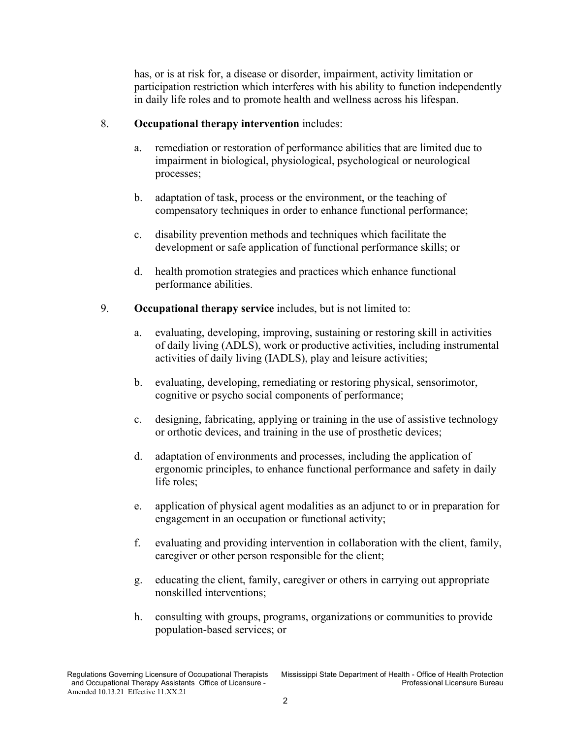has, or is at risk for, a disease or disorder, impairment, activity limitation or participation restriction which interferes with his ability to function independently in daily life roles and to promote health and wellness across his lifespan.

#### 8. **Occupational therapy intervention** includes:

- a. remediation or restoration of performance abilities that are limited due to impairment in biological, physiological, psychological or neurological processes;
- b. adaptation of task, process or the environment, or the teaching of compensatory techniques in order to enhance functional performance;
- c. disability prevention methods and techniques which facilitate the development or safe application of functional performance skills; or
- d. health promotion strategies and practices which enhance functional performance abilities.
- 9. **Occupational therapy service** includes, but is not limited to:
	- a. evaluating, developing, improving, sustaining or restoring skill in activities of daily living (ADLS), work or productive activities, including instrumental activities of daily living (IADLS), play and leisure activities;
	- b. evaluating, developing, remediating or restoring physical, sensorimotor, cognitive or psycho social components of performance;
	- c. designing, fabricating, applying or training in the use of assistive technology or orthotic devices, and training in the use of prosthetic devices;
	- d. adaptation of environments and processes, including the application of ergonomic principles, to enhance functional performance and safety in daily life roles;
	- e. application of physical agent modalities as an adjunct to or in preparation for engagement in an occupation or functional activity;
	- f. evaluating and providing intervention in collaboration with the client, family, caregiver or other person responsible for the client;
	- g. educating the client, family, caregiver or others in carrying out appropriate nonskilled interventions;
	- h. consulting with groups, programs, organizations or communities to provide population-based services; or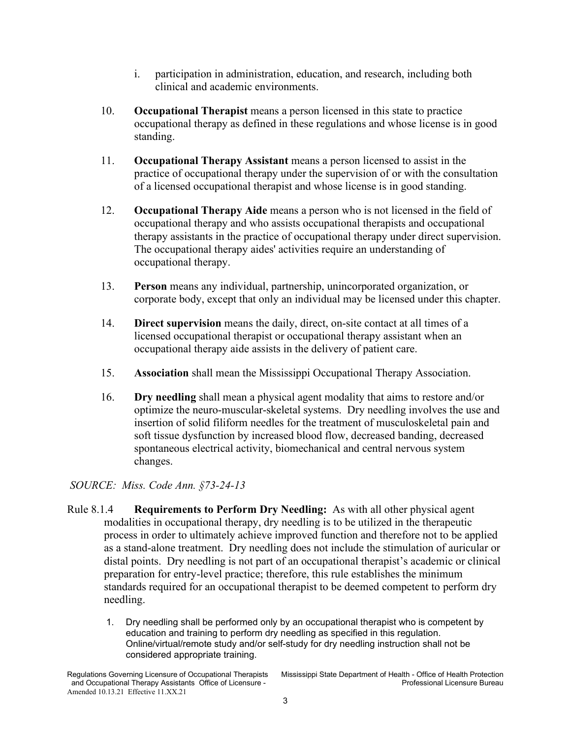- i. participation in administration, education, and research, including both clinical and academic environments.
- 10. **Occupational Therapist** means a person licensed in this state to practice occupational therapy as defined in these regulations and whose license is in good standing.
- 11. **Occupational Therapy Assistant** means a person licensed to assist in the practice of occupational therapy under the supervision of or with the consultation of a licensed occupational therapist and whose license is in good standing.
- 12. **Occupational Therapy Aide** means a person who is not licensed in the field of occupational therapy and who assists occupational therapists and occupational therapy assistants in the practice of occupational therapy under direct supervision. The occupational therapy aides' activities require an understanding of occupational therapy.
- 13. **Person** means any individual, partnership, unincorporated organization, or corporate body, except that only an individual may be licensed under this chapter.
- 14. **Direct supervision** means the daily, direct, on-site contact at all times of a licensed occupational therapist or occupational therapy assistant when an occupational therapy aide assists in the delivery of patient care.
- 15. **Association** shall mean the Mississippi Occupational Therapy Association.
- 16. **Dry needling** shall mean a physical agent modality that aims to restore and/or optimize the neuro-muscular-skeletal systems. Dry needling involves the use and insertion of solid filiform needles for the treatment of musculoskeletal pain and soft tissue dysfunction by increased blood flow, decreased banding, decreased spontaneous electrical activity, biomechanical and central nervous system changes.

- <span id="page-6-0"></span>Rule 8.1.4 **Requirements to Perform Dry Needling:** As with all other physical agent modalities in occupational therapy, dry needling is to be utilized in the therapeutic process in order to ultimately achieve improved function and therefore not to be applied as a stand-alone treatment. Dry needling does not include the stimulation of auricular or distal points. Dry needling is not part of an occupational therapist's academic or clinical preparation for entry-level practice; therefore, this rule establishes the minimum standards required for an occupational therapist to be deemed competent to perform dry needling.
	- 1. Dry needling shall be performed only by an occupational therapist who is competent by education and training to perform dry needling as specified in this regulation. Online/virtual/remote study and/or self-study for dry needling instruction shall not be considered appropriate training.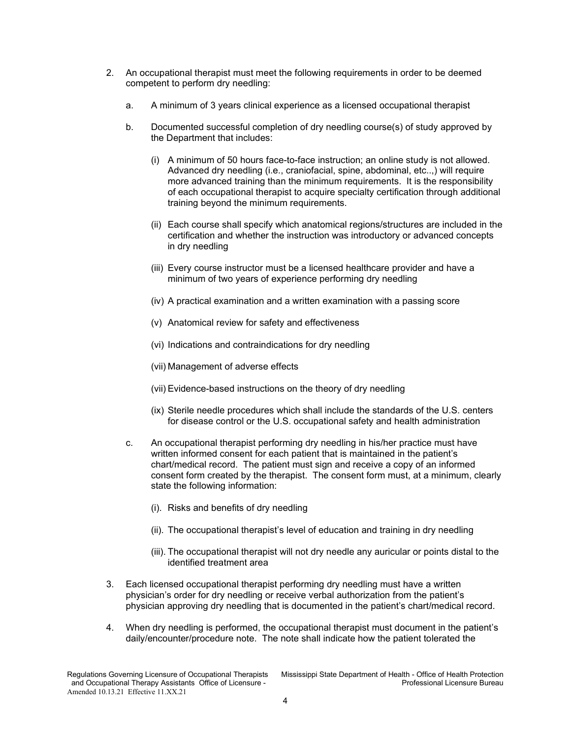- 2. An occupational therapist must meet the following requirements in order to be deemed competent to perform dry needling:
	- a. A minimum of 3 years clinical experience as a licensed occupational therapist
	- b. Documented successful completion of dry needling course(s) of study approved by the Department that includes:
		- (i) A minimum of 50 hours face-to-face instruction; an online study is not allowed. Advanced dry needling (i.e., craniofacial, spine, abdominal, etc..,) will require more advanced training than the minimum requirements. It is the responsibility of each occupational therapist to acquire specialty certification through additional training beyond the minimum requirements.
		- (ii) Each course shall specify which anatomical regions/structures are included in the certification and whether the instruction was introductory or advanced concepts in dry needling
		- (iii) Every course instructor must be a licensed healthcare provider and have a minimum of two years of experience performing dry needling
		- (iv) A practical examination and a written examination with a passing score
		- (v) Anatomical review for safety and effectiveness
		- (vi) Indications and contraindications for dry needling
		- (vii) Management of adverse effects
		- (vii) Evidence-based instructions on the theory of dry needling
		- (ix) Sterile needle procedures which shall include the standards of the U.S. centers for disease control or the U.S. occupational safety and health administration
	- c. An occupational therapist performing dry needling in his/her practice must have written informed consent for each patient that is maintained in the patient's chart/medical record. The patient must sign and receive a copy of an informed consent form created by the therapist. The consent form must, at a minimum, clearly state the following information:
		- (i). Risks and benefits of dry needling
		- (ii). The occupational therapist's level of education and training in dry needling
		- (iii). The occupational therapist will not dry needle any auricular or points distal to the identified treatment area
- 3. Each licensed occupational therapist performing dry needling must have a written physician's order for dry needling or receive verbal authorization from the patient's physician approving dry needling that is documented in the patient's chart/medical record.
- 4. When dry needling is performed, the occupational therapist must document in the patient's daily/encounter/procedure note. The note shall indicate how the patient tolerated the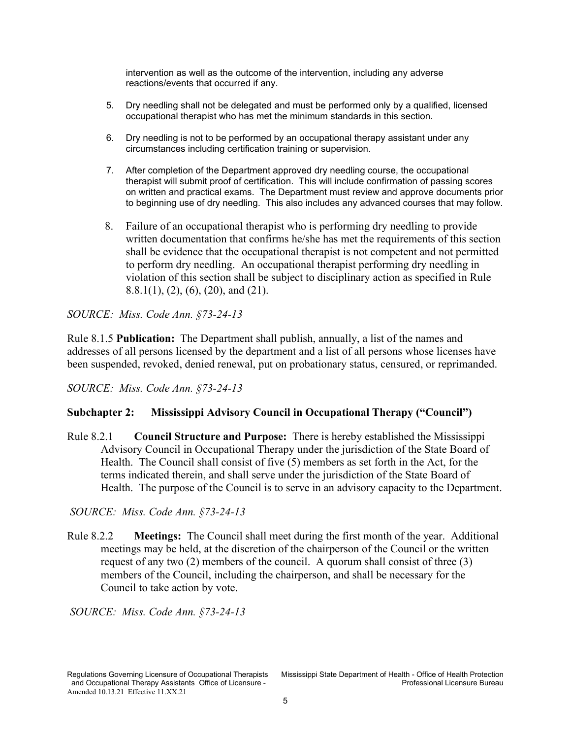intervention as well as the outcome of the intervention, including any adverse reactions/events that occurred if any.

- 5. Dry needling shall not be delegated and must be performed only by a qualified, licensed occupational therapist who has met the minimum standards in this section.
- 6. Dry needling is not to be performed by an occupational therapy assistant under any circumstances including certification training or supervision.
- 7. After completion of the Department approved dry needling course, the occupational therapist will submit proof of certification. This will include confirmation of passing scores on written and practical exams. The Department must review and approve documents prior to beginning use of dry needling. This also includes any advanced courses that may follow.
- 8. Failure of an occupational therapist who is performing dry needling to provide written documentation that confirms he/she has met the requirements of this section shall be evidence that the occupational therapist is not competent and not permitted to perform dry needling. An occupational therapist performing dry needling in violation of this section shall be subject to disciplinary action as specified in Rule 8.8.1(1), (2), (6), (20), and (21).

*SOURCE: Miss. Code Ann. §73-24-13*

Rule 8.1.5 **Publication:** The Department shall publish, annually, a list of the names and addresses of all persons licensed by the department and a list of all persons whose licenses have been suspended, revoked, denied renewal, put on probationary status, censured, or reprimanded.

*SOURCE: Miss. Code Ann. §73-24-13*

#### <span id="page-8-0"></span>**Subchapter 2: Mississippi Advisory Council in Occupational Therapy ("Council")**

<span id="page-8-1"></span>Rule 8.2.1 **Council Structure and Purpose:** There is hereby established the Mississippi Advisory Council in Occupational Therapy under the jurisdiction of the State Board of Health. The Council shall consist of five (5) members as set forth in the Act, for the terms indicated therein, and shall serve under the jurisdiction of the State Board of Health. The purpose of the Council is to serve in an advisory capacity to the Department.

*SOURCE: Miss. Code Ann. §73-24-13*

<span id="page-8-2"></span>Rule 8.2.2 **Meetings:** The Council shall meet during the first month of the year. Additional meetings may be held, at the discretion of the chairperson of the Council or the written request of any two (2) members of the council. A quorum shall consist of three (3) members of the Council, including the chairperson, and shall be necessary for the Council to take action by vote.

<span id="page-8-3"></span>*SOURCE: Miss. Code Ann. §73-24-13*

and Occupational Therapy Assistants Office of Licensure -Amended 10.13.21 Effective 11.XX.21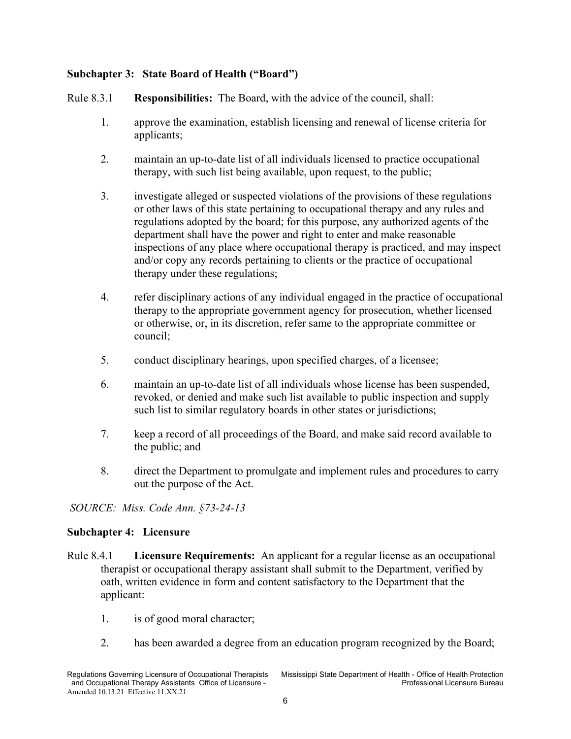# **Subchapter 3: State Board of Health ("Board")**

<span id="page-9-0"></span>Rule 8.3.1 **Responsibilities:** The Board, with the advice of the council, shall:

- 1. approve the examination, establish licensing and renewal of license criteria for applicants;
- 2. maintain an up-to-date list of all individuals licensed to practice occupational therapy, with such list being available, upon request, to the public;
- 3. investigate alleged or suspected violations of the provisions of these regulations or other laws of this state pertaining to occupational therapy and any rules and regulations adopted by the board; for this purpose, any authorized agents of the department shall have the power and right to enter and make reasonable inspections of any place where occupational therapy is practiced, and may inspect and/or copy any records pertaining to clients or the practice of occupational therapy under these regulations;
- 4. refer disciplinary actions of any individual engaged in the practice of occupational therapy to the appropriate government agency for prosecution, whether licensed or otherwise, or, in its discretion, refer same to the appropriate committee or council;
- 5. conduct disciplinary hearings, upon specified charges, of a licensee;
- 6. maintain an up-to-date list of all individuals whose license has been suspended, revoked, or denied and make such list available to public inspection and supply such list to similar regulatory boards in other states or jurisdictions;
- 7. keep a record of all proceedings of the Board, and make said record available to the public; and
- 8. direct the Department to promulgate and implement rules and procedures to carry out the purpose of the Act.

*SOURCE: Miss. Code Ann. §73-24-13*

#### <span id="page-9-1"></span>**Subchapter 4: Licensure**

- <span id="page-9-2"></span>Rule 8.4.1 **Licensure Requirements:** An applicant for a regular license as an occupational therapist or occupational therapy assistant shall submit to the Department, verified by oath, written evidence in form and content satisfactory to the Department that the applicant:
	- 1. is of good moral character;
	- 2. has been awarded a degree from an education program recognized by the Board;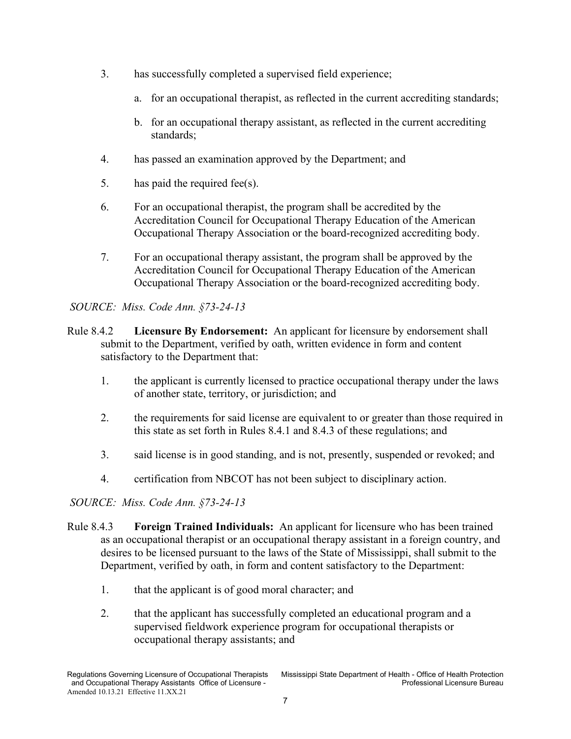- 3. has successfully completed a supervised field experience;
	- a. for an occupational therapist, as reflected in the current accrediting standards;
	- b. for an occupational therapy assistant, as reflected in the current accrediting standards;
- 4. has passed an examination approved by the Department; and
- 5. has paid the required fee(s).
- 6. For an occupational therapist, the program shall be accredited by the Accreditation Council for Occupational Therapy Education of the American Occupational Therapy Association or the board-recognized accrediting body.
- 7. For an occupational therapy assistant, the program shall be approved by the Accreditation Council for Occupational Therapy Education of the American Occupational Therapy Association or the board-recognized accrediting body.

- <span id="page-10-0"></span>Rule 8.4.2 **Licensure By Endorsement:** An applicant for licensure by endorsement shall submit to the Department, verified by oath, written evidence in form and content satisfactory to the Department that:
	- 1. the applicant is currently licensed to practice occupational therapy under the laws of another state, territory, or jurisdiction; and
	- 2. the requirements for said license are equivalent to or greater than those required in this state as set forth in Rules 8.4.1 and 8.4.3 of these regulations; and
	- 3. said license is in good standing, and is not, presently, suspended or revoked; and
	- 4. certification from NBCOT has not been subject to disciplinary action.

- <span id="page-10-1"></span>Rule 8.4.3 **Foreign Trained Individuals:** An applicant for licensure who has been trained as an occupational therapist or an occupational therapy assistant in a foreign country, and desires to be licensed pursuant to the laws of the State of Mississippi, shall submit to the Department, verified by oath, in form and content satisfactory to the Department:
	- 1. that the applicant is of good moral character; and
	- 2. that the applicant has successfully completed an educational program and a supervised fieldwork experience program for occupational therapists or occupational therapy assistants; and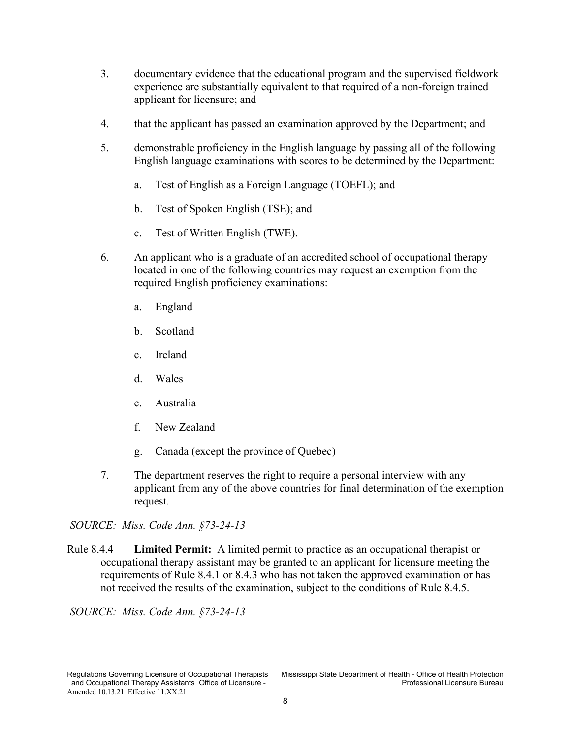- 3. documentary evidence that the educational program and the supervised fieldwork experience are substantially equivalent to that required of a non-foreign trained applicant for licensure; and
- 4. that the applicant has passed an examination approved by the Department; and
- 5. demonstrable proficiency in the English language by passing all of the following English language examinations with scores to be determined by the Department:
	- a. Test of English as a Foreign Language (TOEFL); and
	- b. Test of Spoken English (TSE); and
	- c. Test of Written English (TWE).
- 6. An applicant who is a graduate of an accredited school of occupational therapy located in one of the following countries may request an exemption from the required English proficiency examinations:
	- a. England
	- b. Scotland
	- c. Ireland
	- d. Wales
	- e. Australia
	- f. New Zealand
	- g. Canada (except the province of Quebec)
- 7. The department reserves the right to require a personal interview with any applicant from any of the above countries for final determination of the exemption request.

<span id="page-11-1"></span><span id="page-11-0"></span>Rule 8.4.4 **Limited Permit:** A limited permit to practice as an occupational therapist or occupational therapy assistant may be granted to an applicant for licensure meeting the requirements of Rule 8.4.1 or 8.4.3 who has not taken the approved examination or has not received the results of the examination, subject to the conditions of Rule 8.4.5.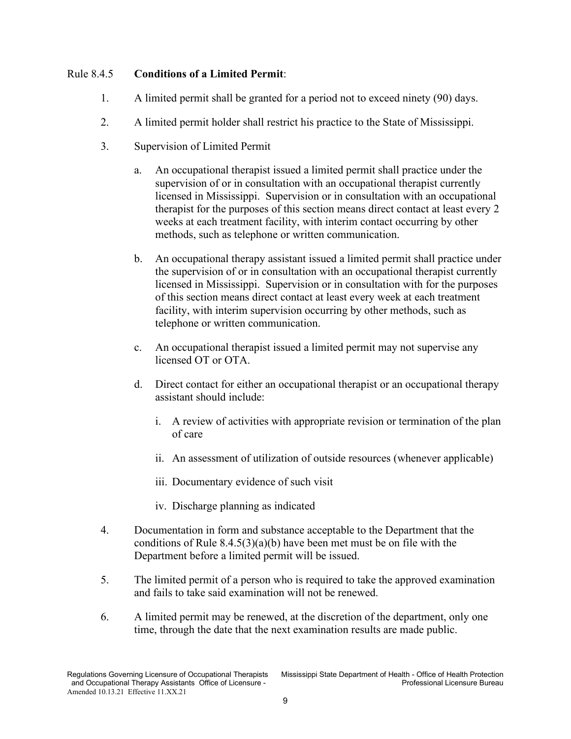# Rule 8.4.5 **Conditions of a Limited Permit**:

- 1. A limited permit shall be granted for a period not to exceed ninety (90) days.
- 2. A limited permit holder shall restrict his practice to the State of Mississippi.
- 3. Supervision of Limited Permit
	- a. An occupational therapist issued a limited permit shall practice under the supervision of or in consultation with an occupational therapist currently licensed in Mississippi. Supervision or in consultation with an occupational therapist for the purposes of this section means direct contact at least every 2 weeks at each treatment facility, with interim contact occurring by other methods, such as telephone or written communication.
	- b. An occupational therapy assistant issued a limited permit shall practice under the supervision of or in consultation with an occupational therapist currently licensed in Mississippi. Supervision or in consultation with for the purposes of this section means direct contact at least every week at each treatment facility, with interim supervision occurring by other methods, such as telephone or written communication.
	- c. An occupational therapist issued a limited permit may not supervise any licensed OT or OTA.
	- d. Direct contact for either an occupational therapist or an occupational therapy assistant should include:
		- i. A review of activities with appropriate revision or termination of the plan of care
		- ii. An assessment of utilization of outside resources (whenever applicable)
		- iii. Documentary evidence of such visit
		- iv. Discharge planning as indicated
- 4. Documentation in form and substance acceptable to the Department that the conditions of Rule  $8.4.5(3)(a)(b)$  have been met must be on file with the Department before a limited permit will be issued.
- 5. The limited permit of a person who is required to take the approved examination and fails to take said examination will not be renewed.
- 6. A limited permit may be renewed, at the discretion of the department, only one time, through the date that the next examination results are made public.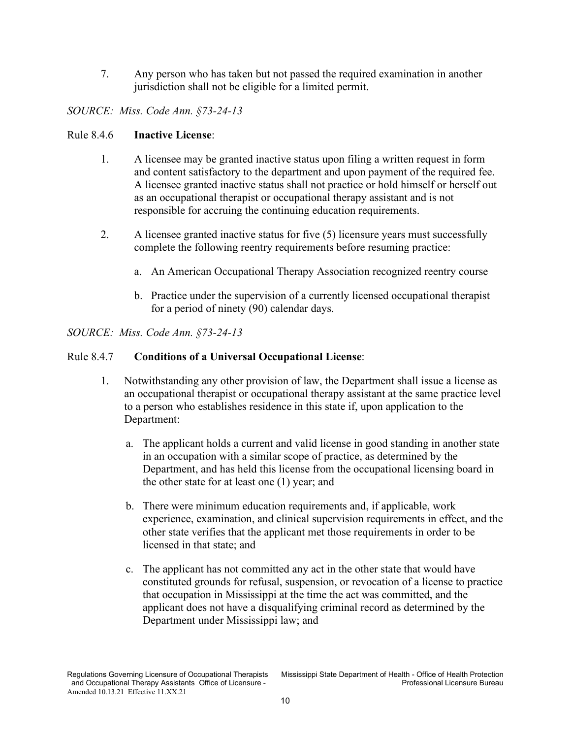7. Any person who has taken but not passed the required examination in another jurisdiction shall not be eligible for a limited permit.

# *SOURCE: Miss. Code Ann. §73-24-13*

#### <span id="page-13-0"></span>Rule 8.4.6 **Inactive License**:

- 1. A licensee may be granted inactive status upon filing a written request in form and content satisfactory to the department and upon payment of the required fee. A licensee granted inactive status shall not practice or hold himself or herself out as an occupational therapist or occupational therapy assistant and is not responsible for accruing the continuing education requirements.
- 2. A licensee granted inactive status for five (5) licensure years must successfully complete the following reentry requirements before resuming practice:
	- a. An American Occupational Therapy Association recognized reentry course
	- b. Practice under the supervision of a currently licensed occupational therapist for a period of ninety (90) calendar days.

#### *SOURCE: Miss. Code Ann. §73-24-13*

#### Rule 8.4.7 **Conditions of a Universal Occupational License**:

- 1. Notwithstanding any other provision of law, the Department shall issue a license as an occupational therapist or occupational therapy assistant at the same practice level to a person who establishes residence in this state if, upon application to the Department:
	- a. The applicant holds a current and valid license in good standing in another state in an occupation with a similar scope of practice, as determined by the Department, and has held this license from the occupational licensing board in the other state for at least one (1) year; and
	- b. There were minimum education requirements and, if applicable, work experience, examination, and clinical supervision requirements in effect, and the other state verifies that the applicant met those requirements in order to be licensed in that state; and
	- c. The applicant has not committed any act in the other state that would have constituted grounds for refusal, suspension, or revocation of a license to practice that occupation in Mississippi at the time the act was committed, and the applicant does not have a disqualifying criminal record as determined by the Department under Mississippi law; and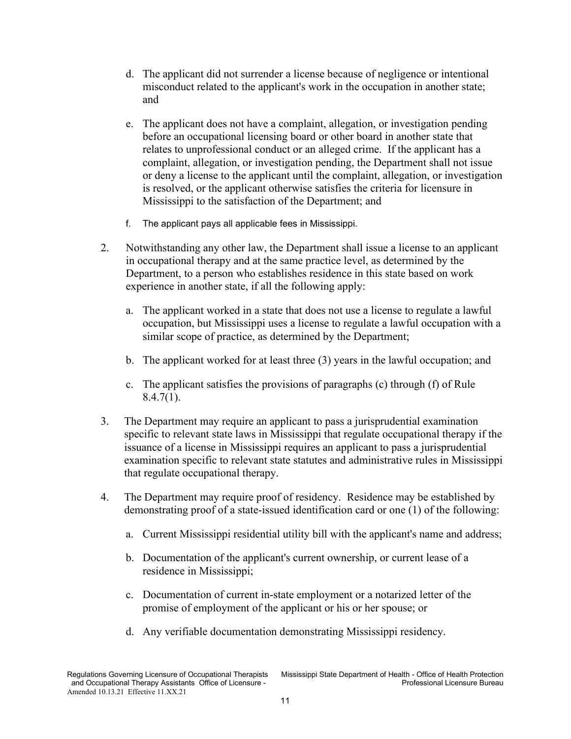- d. The applicant did not surrender a license because of negligence or intentional misconduct related to the applicant's work in the occupation in another state; and
- e. The applicant does not have a complaint, allegation, or investigation pending before an occupational licensing board or other board in another state that relates to unprofessional conduct or an alleged crime. If the applicant has a complaint, allegation, or investigation pending, the Department shall not issue or deny a license to the applicant until the complaint, allegation, or investigation is resolved, or the applicant otherwise satisfies the criteria for licensure in Mississippi to the satisfaction of the Department; and
- f. The applicant pays all applicable fees in Mississippi.
- 2. Notwithstanding any other law, the Department shall issue a license to an applicant in occupational therapy and at the same practice level, as determined by the Department, to a person who establishes residence in this state based on work experience in another state, if all the following apply:
	- a. The applicant worked in a state that does not use a license to regulate a lawful occupation, but Mississippi uses a license to regulate a lawful occupation with a similar scope of practice, as determined by the Department;
	- b. The applicant worked for at least three (3) years in the lawful occupation; and
	- c. The applicant satisfies the provisions of paragraphs (c) through (f) of Rule  $8.4.7(1)$ .
- 3. The Department may require an applicant to pass a jurisprudential examination specific to relevant state laws in Mississippi that regulate occupational therapy if the issuance of a license in Mississippi requires an applicant to pass a jurisprudential examination specific to relevant state statutes and administrative rules in Mississippi that regulate occupational therapy.
- 4. The Department may require proof of residency. Residence may be established by demonstrating proof of a state-issued identification card or one (1) of the following:
	- a. Current Mississippi residential utility bill with the applicant's name and address;
	- b. Documentation of the applicant's current ownership, or current lease of a residence in Mississippi;
	- c. Documentation of current in-state employment or a notarized letter of the promise of employment of the applicant or his or her spouse; or
	- d. Any verifiable documentation demonstrating Mississippi residency.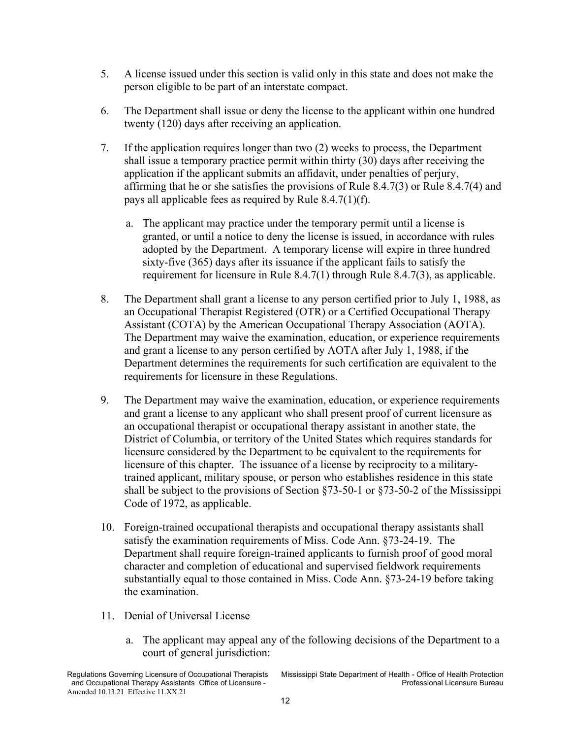- 5. A license issued under this section is valid only in this state and does not make the person eligible to be part of an interstate compact.
- 6. The Department shall issue or deny the license to the applicant within one hundred twenty (120) days after receiving an application.
- 7. If the application requires longer than two (2) weeks to process, the Department shall issue a temporary practice permit within thirty (30) days after receiving the application if the applicant submits an affidavit, under penalties of perjury, affirming that he or she satisfies the provisions of Rule 8.4.7(3) or Rule 8.4.7(4) and pays all applicable fees as required by Rule 8.4.7(1)(f).
	- a. The applicant may practice under the temporary permit until a license is granted, or until a notice to deny the license is issued, in accordance with rules adopted by the Department. A temporary license will expire in three hundred sixty-five (365) days after its issuance if the applicant fails to satisfy the requirement for licensure in Rule 8.4.7(1) through Rule 8.4.7(3), as applicable.
- 8. The Department shall grant a license to any person certified prior to July 1, 1988, as an Occupational Therapist Registered (OTR) or a Certified Occupational Therapy Assistant (COTA) by the American Occupational Therapy Association (AOTA). The Department may waive the examination, education, or experience requirements and grant a license to any person certified by AOTA after July 1, 1988, if the Department determines the requirements for such certification are equivalent to the requirements for licensure in these Regulations.
- 9. The Department may waive the examination, education, or experience requirements and grant a license to any applicant who shall present proof of current licensure as an occupational therapist or occupational therapy assistant in another state, the District of Columbia, or territory of the United States which requires standards for licensure considered by the Department to be equivalent to the requirements for licensure of this chapter. The issuance of a license by reciprocity to a militarytrained applicant, military spouse, or person who establishes residence in this state shall be subject to the provisions of Section §73-50-1 or §73-50-2 of the Mississippi Code of 1972, as applicable.
- 10. Foreign-trained occupational therapists and occupational therapy assistants shall satisfy the examination requirements of Miss. Code Ann. §73-24-19. The Department shall require foreign-trained applicants to furnish proof of good moral character and completion of educational and supervised fieldwork requirements substantially equal to those contained in Miss. Code Ann. §73-24-19 before taking the examination.
- 11. Denial of Universal License
	- a. The applicant may appeal any of the following decisions of the Department to a court of general jurisdiction: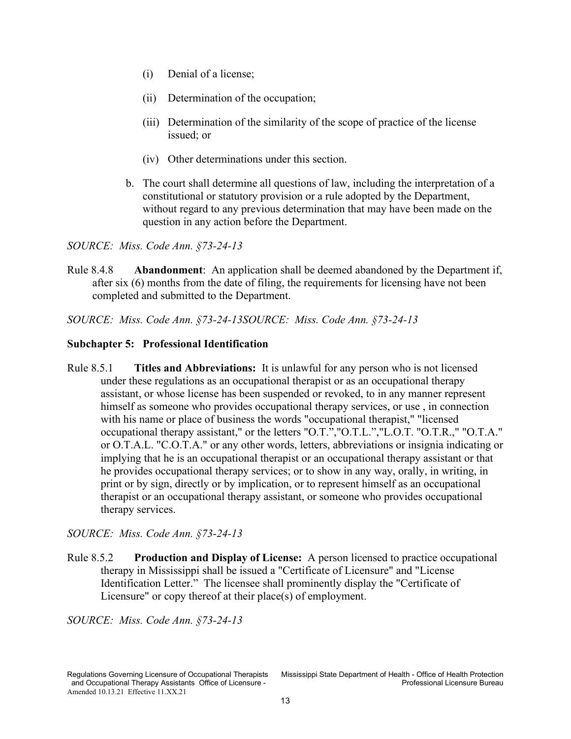- (i) Denial of a license;
- (ii) Determination of the occupation;
- (iii) Determination of the similarity of the scope of practice of the license issued; or
- (iv) Other determinations under this section.
- b. The court shall determine all questions of law, including the interpretation of a constitutional or statutory provision or a rule adopted by the Department, without regard to any previous determination that may have been made on the question in any action before the Department.

Rule 8.4.8 **Abandonment**: An application shall be deemed abandoned by the Department if, after six (6) months from the date of filing, the requirements for licensing have not been completed and submitted to the Department.

*SOURCE: Miss. Code Ann. §73-24-13SOURCE: Miss. Code Ann. §73-24-13*

#### <span id="page-16-0"></span>**Subchapter 5: Professional Identification**

<span id="page-16-1"></span>Rule 8.5.1 **Titles and Abbreviations:** It is unlawful for any person who is not licensed under these regulations as an occupational therapist or as an occupational therapy assistant, or whose license has been suspended or revoked, to in any manner represent himself as someone who provides occupational therapy services, or use , in connection with his name or place of business the words "occupational therapist," "licensed occupational therapy assistant," or the letters "O.T.","O.T.L.","L.O.T. "O.T.R.," "O.T.A." or O.T.A.L. "C.O.T.A." or any other words, letters, abbreviations or insignia indicating or implying that he is an occupational therapist or an occupational therapy assistant or that he provides occupational therapy services; or to show in any way, orally, in writing, in print or by sign, directly or by implication, or to represent himself as an occupational therapist or an occupational therapy assistant, or someone who provides occupational therapy services.

*SOURCE: Miss. Code Ann. §73-24-13*

<span id="page-16-2"></span>Rule 8.5.2 **Production and Display of License:** A person licensed to practice occupational therapy in Mississippi shall be issued a "Certificate of Licensure" and "License Identification Letter." The licensee shall prominently display the "Certificate of Licensure" or copy thereof at their place(s) of employment.

*SOURCE: Miss. Code Ann. §73-24-13*

and Occupational Therapy Assistants Office of Licensure -Amended 10.13.21 Effective 11.XX.21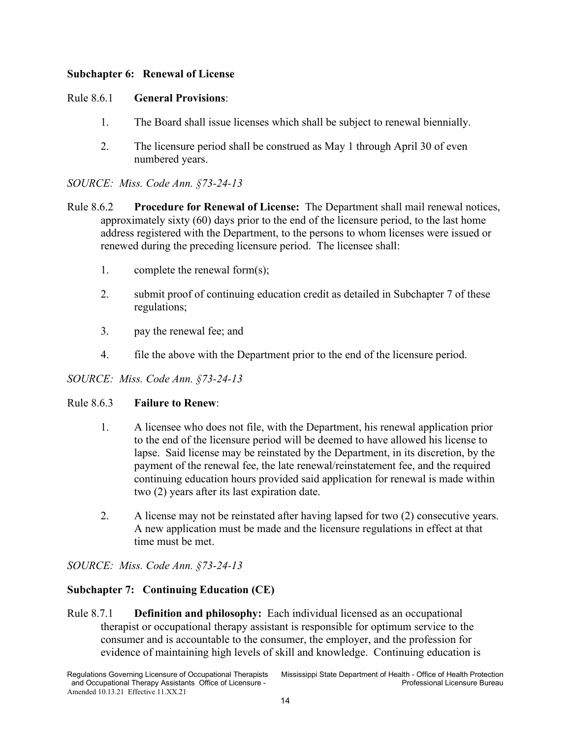# <span id="page-17-0"></span>**Subchapter 6: Renewal of License**

# <span id="page-17-1"></span>Rule 8.6.1 **General Provisions**:

- 1. The Board shall issue licenses which shall be subject to renewal biennially.
- 2. The licensure period shall be construed as May 1 through April 30 of even numbered years.

*SOURCE: Miss. Code Ann. §73-24-13*

- <span id="page-17-2"></span>Rule 8.6.2 **Procedure for Renewal of License:** The Department shall mail renewal notices, approximately sixty (60) days prior to the end of the licensure period, to the last home address registered with the Department, to the persons to whom licenses were issued or renewed during the preceding licensure period. The licensee shall:
	- 1. complete the renewal form(s);
	- 2. submit proof of continuing education credit as detailed in Subchapter 7 of these regulations;
	- 3. pay the renewal fee; and
	- 4. file the above with the Department prior to the end of the licensure period.

*SOURCE: Miss. Code Ann. §73-24-13*

#### <span id="page-17-3"></span>Rule 8.6.3 **Failure to Renew**:

- 1. A licensee who does not file, with the Department, his renewal application prior to the end of the licensure period will be deemed to have allowed his license to lapse. Said license may be reinstated by the Department, in its discretion, by the payment of the renewal fee, the late renewal/reinstatement fee, and the required continuing education hours provided said application for renewal is made within two (2) years after its last expiration date.
- 2. A license may not be reinstated after having lapsed for two (2) consecutive years. A new application must be made and the licensure regulations in effect at that time must be met.

*SOURCE: Miss. Code Ann. §73-24-13*

# <span id="page-17-4"></span>**Subchapter 7: Continuing Education (CE)**

<span id="page-17-5"></span>Rule 8.7.1 **Definition and philosophy:** Each individual licensed as an occupational therapist or occupational therapy assistant is responsible for optimum service to the consumer and is accountable to the consumer, the employer, and the profession for evidence of maintaining high levels of skill and knowledge. Continuing education is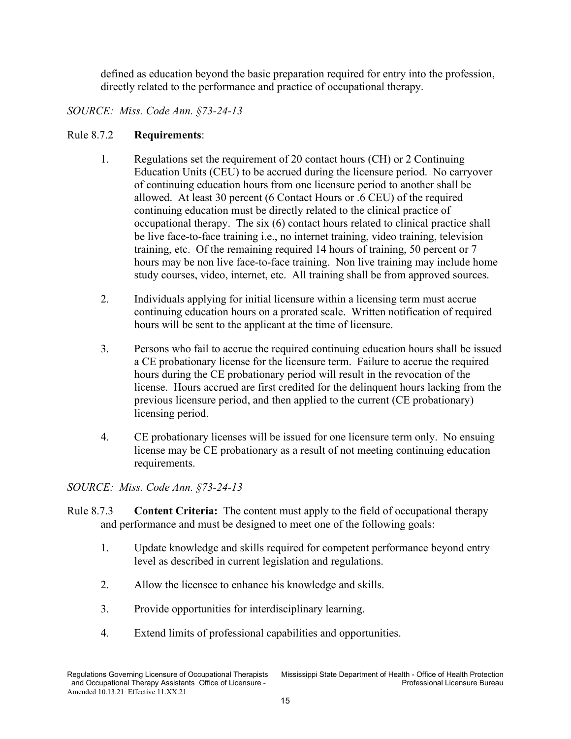defined as education beyond the basic preparation required for entry into the profession, directly related to the performance and practice of occupational therapy.

# *SOURCE: Miss. Code Ann. §73-24-13*

#### <span id="page-18-0"></span>Rule 8.7.2 **Requirements**:

- 1. Regulations set the requirement of 20 contact hours (CH) or 2 Continuing Education Units (CEU) to be accrued during the licensure period. No carryover of continuing education hours from one licensure period to another shall be allowed. At least 30 percent (6 Contact Hours or .6 CEU) of the required continuing education must be directly related to the clinical practice of occupational therapy. The six (6) contact hours related to clinical practice shall be live face-to-face training i.e., no internet training, video training, television training, etc. Of the remaining required 14 hours of training, 50 percent or 7 hours may be non live face-to-face training. Non live training may include home study courses, video, internet, etc. All training shall be from approved sources.
- 2. Individuals applying for initial licensure within a licensing term must accrue continuing education hours on a prorated scale. Written notification of required hours will be sent to the applicant at the time of licensure.
- 3. Persons who fail to accrue the required continuing education hours shall be issued a CE probationary license for the licensure term. Failure to accrue the required hours during the CE probationary period will result in the revocation of the license. Hours accrued are first credited for the delinquent hours lacking from the previous licensure period, and then applied to the current (CE probationary) licensing period.
- 4. CE probationary licenses will be issued for one licensure term only. No ensuing license may be CE probationary as a result of not meeting continuing education requirements.

- <span id="page-18-1"></span>Rule 8.7.3 **Content Criteria:** The content must apply to the field of occupational therapy and performance and must be designed to meet one of the following goals:
	- 1. Update knowledge and skills required for competent performance beyond entry level as described in current legislation and regulations.
	- 2. Allow the licensee to enhance his knowledge and skills.
	- 3. Provide opportunities for interdisciplinary learning.
	- 4. Extend limits of professional capabilities and opportunities.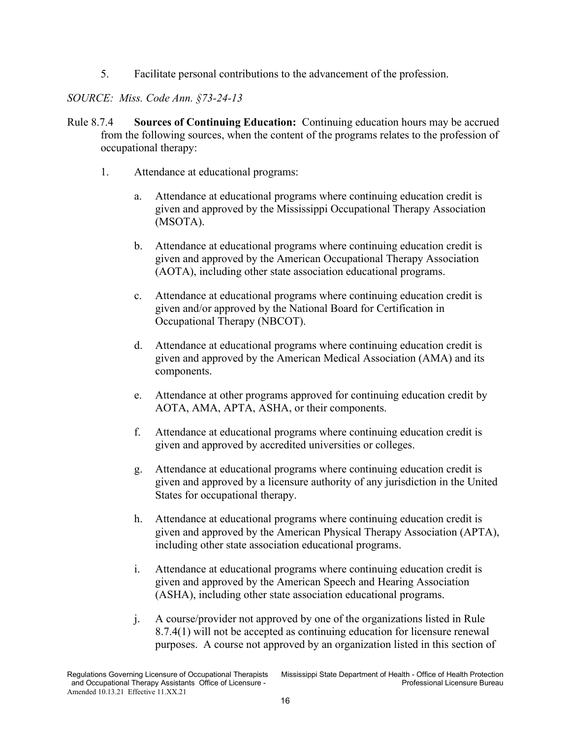5. Facilitate personal contributions to the advancement of the profession.

- <span id="page-19-0"></span>Rule 8.7.4 **Sources of Continuing Education:** Continuing education hours may be accrued from the following sources, when the content of the programs relates to the profession of occupational therapy:
	- 1. Attendance at educational programs:
		- a. Attendance at educational programs where continuing education credit is given and approved by the Mississippi Occupational Therapy Association (MSOTA).
		- b. Attendance at educational programs where continuing education credit is given and approved by the American Occupational Therapy Association (AOTA), including other state association educational programs.
		- c. Attendance at educational programs where continuing education credit is given and/or approved by the National Board for Certification in Occupational Therapy (NBCOT).
		- d. Attendance at educational programs where continuing education credit is given and approved by the American Medical Association (AMA) and its components.
		- e. Attendance at other programs approved for continuing education credit by AOTA, AMA, APTA, ASHA, or their components.
		- f. Attendance at educational programs where continuing education credit is given and approved by accredited universities or colleges.
		- g. Attendance at educational programs where continuing education credit is given and approved by a licensure authority of any jurisdiction in the United States for occupational therapy.
		- h. Attendance at educational programs where continuing education credit is given and approved by the American Physical Therapy Association (APTA), including other state association educational programs.
		- i. Attendance at educational programs where continuing education credit is given and approved by the American Speech and Hearing Association (ASHA), including other state association educational programs.
		- j. A course/provider not approved by one of the organizations listed in Rule 8.7.4(1) will not be accepted as continuing education for licensure renewal purposes. A course not approved by an organization listed in this section of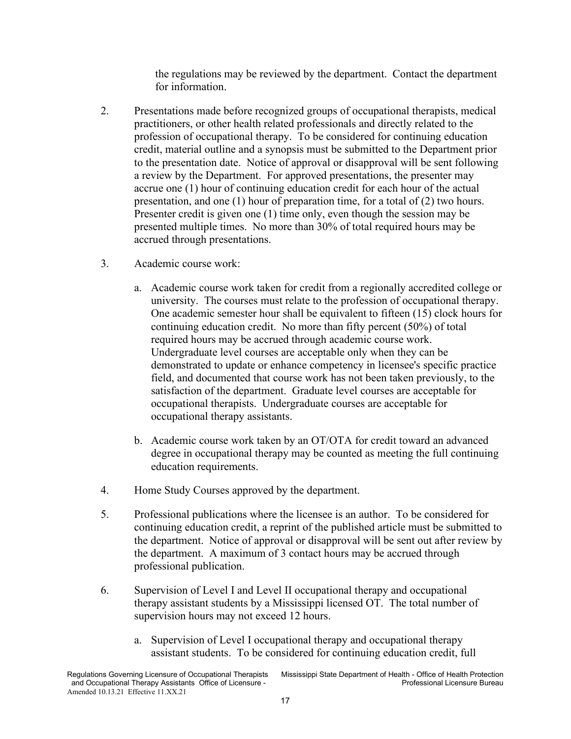the regulations may be reviewed by the department. Contact the department for information.

- 2. Presentations made before recognized groups of occupational therapists, medical practitioners, or other health related professionals and directly related to the profession of occupational therapy. To be considered for continuing education credit, material outline and a synopsis must be submitted to the Department prior to the presentation date. Notice of approval or disapproval will be sent following a review by the Department. For approved presentations, the presenter may accrue one (1) hour of continuing education credit for each hour of the actual presentation, and one (1) hour of preparation time, for a total of (2) two hours. Presenter credit is given one (1) time only, even though the session may be presented multiple times. No more than 30% of total required hours may be accrued through presentations.
- 3. Academic course work:
	- a. Academic course work taken for credit from a regionally accredited college or university. The courses must relate to the profession of occupational therapy. One academic semester hour shall be equivalent to fifteen (15) clock hours for continuing education credit. No more than fifty percent (50%) of total required hours may be accrued through academic course work. Undergraduate level courses are acceptable only when they can be demonstrated to update or enhance competency in licensee's specific practice field, and documented that course work has not been taken previously, to the satisfaction of the department. Graduate level courses are acceptable for occupational therapists. Undergraduate courses are acceptable for occupational therapy assistants.
	- b. Academic course work taken by an OT/OTA for credit toward an advanced degree in occupational therapy may be counted as meeting the full continuing education requirements.
- 4. Home Study Courses approved by the department.
- 5. Professional publications where the licensee is an author. To be considered for continuing education credit, a reprint of the published article must be submitted to the department. Notice of approval or disapproval will be sent out after review by the department. A maximum of 3 contact hours may be accrued through professional publication.
- 6. Supervision of Level I and Level II occupational therapy and occupational therapy assistant students by a Mississippi licensed OT. The total number of supervision hours may not exceed 12 hours.
	- a. Supervision of Level I occupational therapy and occupational therapy assistant students. To be considered for continuing education credit, full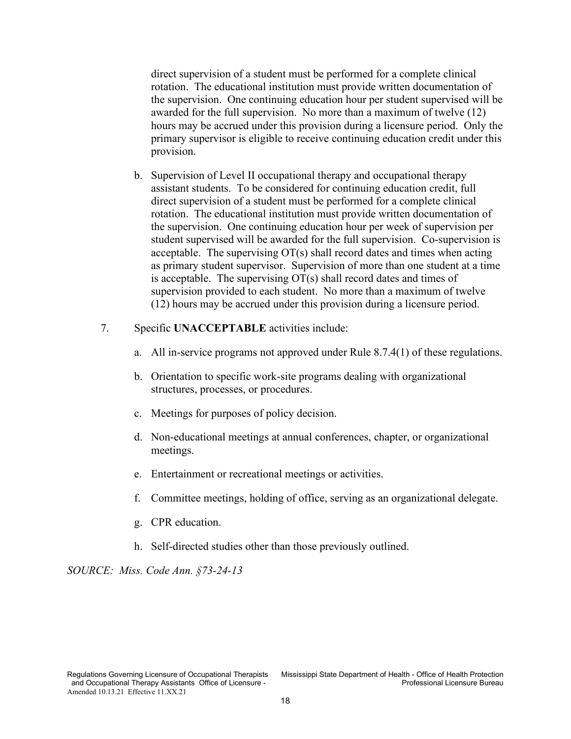direct supervision of a student must be performed for a complete clinical rotation. The educational institution must provide written documentation of the supervision. One continuing education hour per student supervised will be awarded for the full supervision. No more than a maximum of twelve (12) hours may be accrued under this provision during a licensure period. Only the primary supervisor is eligible to receive continuing education credit under this provision.

- b. Supervision of Level II occupational therapy and occupational therapy assistant students. To be considered for continuing education credit, full direct supervision of a student must be performed for a complete clinical rotation. The educational institution must provide written documentation of the supervision. One continuing education hour per week of supervision per student supervised will be awarded for the full supervision. Co-supervision is acceptable. The supervising OT(s) shall record dates and times when acting as primary student supervisor. Supervision of more than one student at a time is acceptable. The supervising OT(s) shall record dates and times of supervision provided to each student. No more than a maximum of twelve (12) hours may be accrued under this provision during a licensure period.
- 7. Specific **UNACCEPTABLE** activities include:
	- a. All in-service programs not approved under Rule 8.7.4(1) of these regulations.
	- b. Orientation to specific work-site programs dealing with organizational structures, processes, or procedures.
	- c. Meetings for purposes of policy decision.
	- d. Non-educational meetings at annual conferences, chapter, or organizational meetings.
	- e. Entertainment or recreational meetings or activities.
	- f. Committee meetings, holding of office, serving as an organizational delegate.
	- g. CPR education.
	- h. Self-directed studies other than those previously outlined.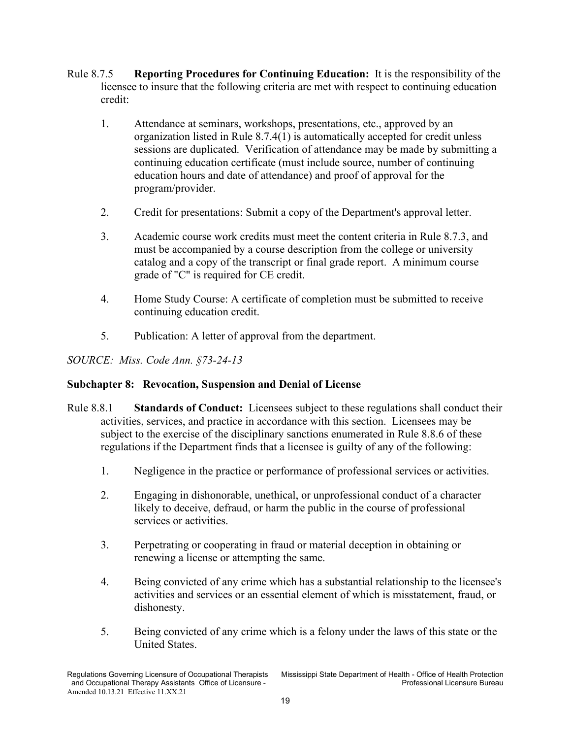- <span id="page-22-0"></span>Rule 8.7.5 **Reporting Procedures for Continuing Education:** It is the responsibility of the licensee to insure that the following criteria are met with respect to continuing education credit:
	- 1. Attendance at seminars, workshops, presentations, etc., approved by an organization listed in Rule 8.7.4(1) is automatically accepted for credit unless sessions are duplicated. Verification of attendance may be made by submitting a continuing education certificate (must include source, number of continuing education hours and date of attendance) and proof of approval for the program/provider.
	- 2. Credit for presentations: Submit a copy of the Department's approval letter.
	- 3. Academic course work credits must meet the content criteria in Rule 8.7.3, and must be accompanied by a course description from the college or university catalog and a copy of the transcript or final grade report. A minimum course grade of "C" is required for CE credit.
	- 4. Home Study Course: A certificate of completion must be submitted to receive continuing education credit.
	- 5. Publication: A letter of approval from the department.

# <span id="page-22-1"></span>**Subchapter 8: Revocation, Suspension and Denial of License**

- <span id="page-22-2"></span>Rule 8.8.1 **Standards of Conduct:** Licensees subject to these regulations shall conduct their activities, services, and practice in accordance with this section. Licensees may be subject to the exercise of the disciplinary sanctions enumerated in Rule 8.8.6 of these regulations if the Department finds that a licensee is guilty of any of the following:
	- 1. Negligence in the practice or performance of professional services or activities.
	- 2. Engaging in dishonorable, unethical, or unprofessional conduct of a character likely to deceive, defraud, or harm the public in the course of professional services or activities.
	- 3. Perpetrating or cooperating in fraud or material deception in obtaining or renewing a license or attempting the same.
	- 4. Being convicted of any crime which has a substantial relationship to the licensee's activities and services or an essential element of which is misstatement, fraud, or dishonesty.
	- 5. Being convicted of any crime which is a felony under the laws of this state or the United States.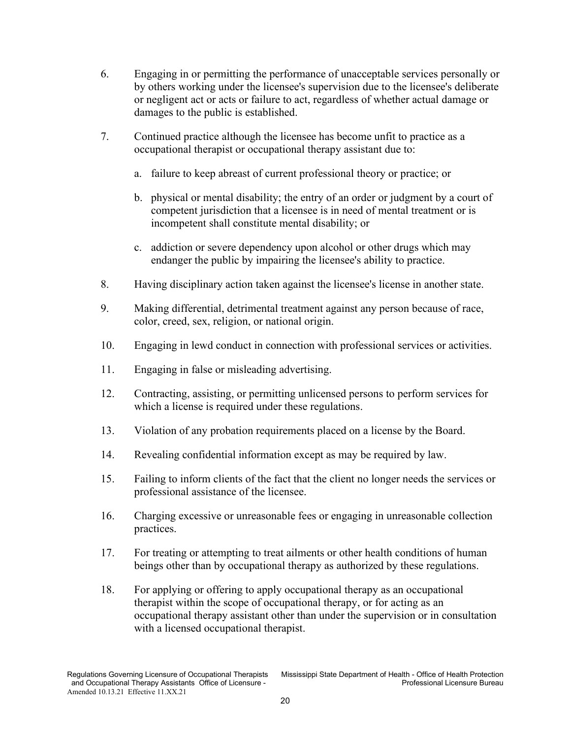- 6. Engaging in or permitting the performance of unacceptable services personally or by others working under the licensee's supervision due to the licensee's deliberate or negligent act or acts or failure to act, regardless of whether actual damage or damages to the public is established.
- 7. Continued practice although the licensee has become unfit to practice as a occupational therapist or occupational therapy assistant due to:
	- a. failure to keep abreast of current professional theory or practice; or
	- b. physical or mental disability; the entry of an order or judgment by a court of competent jurisdiction that a licensee is in need of mental treatment or is incompetent shall constitute mental disability; or
	- c. addiction or severe dependency upon alcohol or other drugs which may endanger the public by impairing the licensee's ability to practice.
- 8. Having disciplinary action taken against the licensee's license in another state.
- 9. Making differential, detrimental treatment against any person because of race, color, creed, sex, religion, or national origin.
- 10. Engaging in lewd conduct in connection with professional services or activities.
- 11. Engaging in false or misleading advertising.
- 12. Contracting, assisting, or permitting unlicensed persons to perform services for which a license is required under these regulations.
- 13. Violation of any probation requirements placed on a license by the Board.
- 14. Revealing confidential information except as may be required by law.
- 15. Failing to inform clients of the fact that the client no longer needs the services or professional assistance of the licensee.
- 16. Charging excessive or unreasonable fees or engaging in unreasonable collection practices.
- 17. For treating or attempting to treat ailments or other health conditions of human beings other than by occupational therapy as authorized by these regulations.
- 18. For applying or offering to apply occupational therapy as an occupational therapist within the scope of occupational therapy, or for acting as an occupational therapy assistant other than under the supervision or in consultation with a licensed occupational therapist.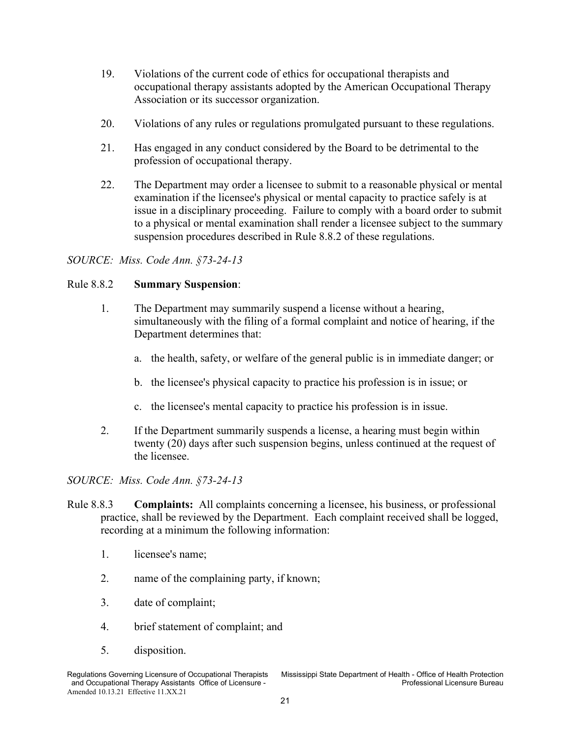- 19. Violations of the current code of ethics for occupational therapists and occupational therapy assistants adopted by the American Occupational Therapy Association or its successor organization.
- 20. Violations of any rules or regulations promulgated pursuant to these regulations.
- 21. Has engaged in any conduct considered by the Board to be detrimental to the profession of occupational therapy.
- 22. The Department may order a licensee to submit to a reasonable physical or mental examination if the licensee's physical or mental capacity to practice safely is at issue in a disciplinary proceeding. Failure to comply with a board order to submit to a physical or mental examination shall render a licensee subject to the summary suspension procedures described in Rule 8.8.2 of these regulations.

#### <span id="page-24-0"></span>Rule 8.8.2 **Summary Suspension**:

- 1. The Department may summarily suspend a license without a hearing, simultaneously with the filing of a formal complaint and notice of hearing, if the Department determines that:
	- a. the health, safety, or welfare of the general public is in immediate danger; or
	- b. the licensee's physical capacity to practice his profession is in issue; or
	- c. the licensee's mental capacity to practice his profession is in issue.
- 2. If the Department summarily suspends a license, a hearing must begin within twenty (20) days after such suspension begins, unless continued at the request of the licensee.

- <span id="page-24-1"></span>Rule 8.8.3 **Complaints:** All complaints concerning a licensee, his business, or professional practice, shall be reviewed by the Department. Each complaint received shall be logged, recording at a minimum the following information:
	- 1. licensee's name;
	- 2. name of the complaining party, if known;
	- 3. date of complaint;
	- 4. brief statement of complaint; and
	- 5. disposition.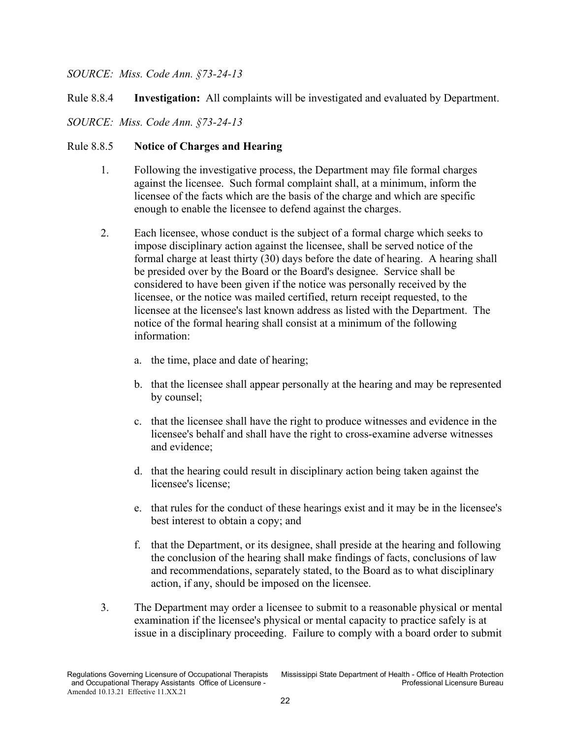<span id="page-25-0"></span>Rule 8.8.4 **Investigation:** All complaints will be investigated and evaluated by Department.

*SOURCE: Miss. Code Ann. §73-24-13*

# <span id="page-25-1"></span>Rule 8.8.5 **Notice of Charges and Hearing**

- 1. Following the investigative process, the Department may file formal charges against the licensee. Such formal complaint shall, at a minimum, inform the licensee of the facts which are the basis of the charge and which are specific enough to enable the licensee to defend against the charges.
- 2. Each licensee, whose conduct is the subject of a formal charge which seeks to impose disciplinary action against the licensee, shall be served notice of the formal charge at least thirty (30) days before the date of hearing. A hearing shall be presided over by the Board or the Board's designee. Service shall be considered to have been given if the notice was personally received by the licensee, or the notice was mailed certified, return receipt requested, to the licensee at the licensee's last known address as listed with the Department. The notice of the formal hearing shall consist at a minimum of the following information:
	- a. the time, place and date of hearing;
	- b. that the licensee shall appear personally at the hearing and may be represented by counsel;
	- c. that the licensee shall have the right to produce witnesses and evidence in the licensee's behalf and shall have the right to cross-examine adverse witnesses and evidence;
	- d. that the hearing could result in disciplinary action being taken against the licensee's license;
	- e. that rules for the conduct of these hearings exist and it may be in the licensee's best interest to obtain a copy; and
	- f. that the Department, or its designee, shall preside at the hearing and following the conclusion of the hearing shall make findings of facts, conclusions of law and recommendations, separately stated, to the Board as to what disciplinary action, if any, should be imposed on the licensee.
- 3. The Department may order a licensee to submit to a reasonable physical or mental examination if the licensee's physical or mental capacity to practice safely is at issue in a disciplinary proceeding. Failure to comply with a board order to submit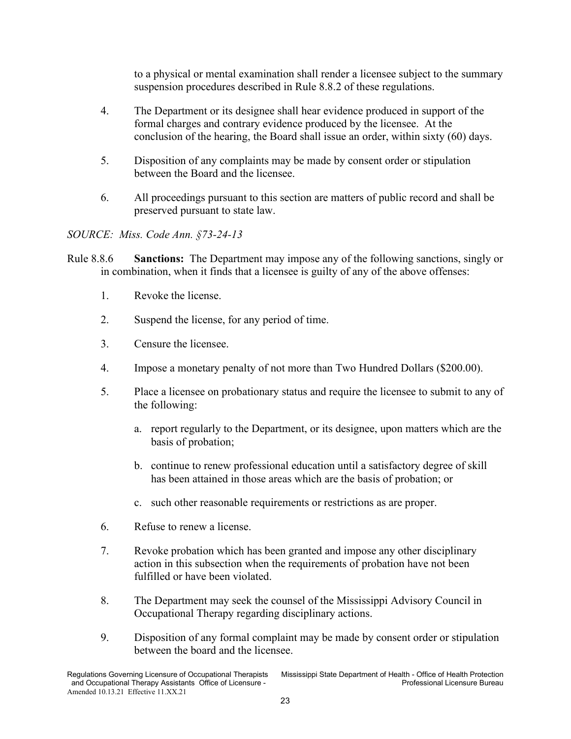to a physical or mental examination shall render a licensee subject to the summary suspension procedures described in Rule 8.8.2 of these regulations.

- 4. The Department or its designee shall hear evidence produced in support of the formal charges and contrary evidence produced by the licensee. At the conclusion of the hearing, the Board shall issue an order, within sixty (60) days.
- 5. Disposition of any complaints may be made by consent order or stipulation between the Board and the licensee.
- 6. All proceedings pursuant to this section are matters of public record and shall be preserved pursuant to state law.

- <span id="page-26-0"></span>Rule 8.8.6 **Sanctions:** The Department may impose any of the following sanctions, singly or in combination, when it finds that a licensee is guilty of any of the above offenses:
	- 1. Revoke the license.
	- 2. Suspend the license, for any period of time.
	- 3. Censure the licensee.
	- 4. Impose a monetary penalty of not more than Two Hundred Dollars (\$200.00).
	- 5. Place a licensee on probationary status and require the licensee to submit to any of the following:
		- a. report regularly to the Department, or its designee, upon matters which are the basis of probation;
		- b. continue to renew professional education until a satisfactory degree of skill has been attained in those areas which are the basis of probation; or
		- c. such other reasonable requirements or restrictions as are proper.
	- 6. Refuse to renew a license.
	- 7. Revoke probation which has been granted and impose any other disciplinary action in this subsection when the requirements of probation have not been fulfilled or have been violated.
	- 8. The Department may seek the counsel of the Mississippi Advisory Council in Occupational Therapy regarding disciplinary actions.
	- 9. Disposition of any formal complaint may be made by consent order or stipulation between the board and the licensee.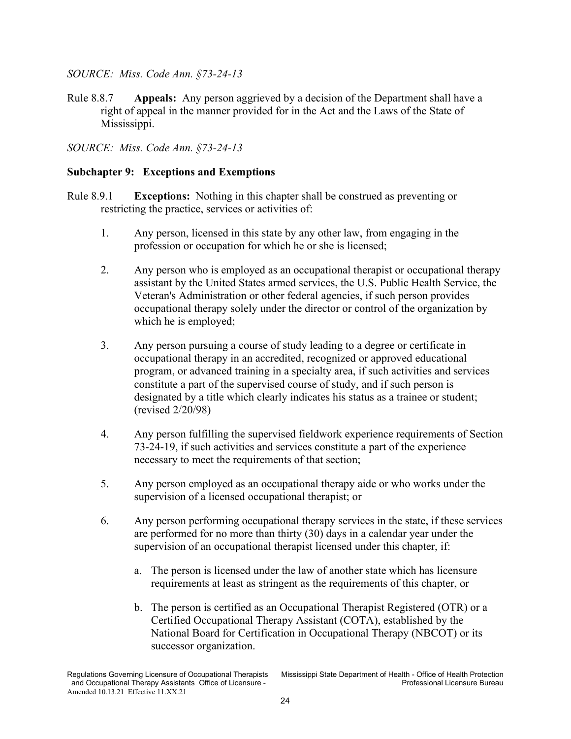<span id="page-27-0"></span>Rule 8.8.7 **Appeals:** Any person aggrieved by a decision of the Department shall have a right of appeal in the manner provided for in the Act and the Laws of the State of Mississippi.

*SOURCE: Miss. Code Ann. §73-24-13*

# <span id="page-27-1"></span>**Subchapter 9: Exceptions and Exemptions**

- <span id="page-27-2"></span>Rule 8.9.1 **Exceptions:** Nothing in this chapter shall be construed as preventing or restricting the practice, services or activities of:
	- 1. Any person, licensed in this state by any other law, from engaging in the profession or occupation for which he or she is licensed;
	- 2. Any person who is employed as an occupational therapist or occupational therapy assistant by the United States armed services, the U.S. Public Health Service, the Veteran's Administration or other federal agencies, if such person provides occupational therapy solely under the director or control of the organization by which he is employed;
	- 3. Any person pursuing a course of study leading to a degree or certificate in occupational therapy in an accredited, recognized or approved educational program, or advanced training in a specialty area, if such activities and services constitute a part of the supervised course of study, and if such person is designated by a title which clearly indicates his status as a trainee or student; (revised 2/20/98)
	- 4. Any person fulfilling the supervised fieldwork experience requirements of Section 73-24-19, if such activities and services constitute a part of the experience necessary to meet the requirements of that section;
	- 5. Any person employed as an occupational therapy aide or who works under the supervision of a licensed occupational therapist; or
	- 6. Any person performing occupational therapy services in the state, if these services are performed for no more than thirty (30) days in a calendar year under the supervision of an occupational therapist licensed under this chapter, if:
		- a. The person is licensed under the law of another state which has licensure requirements at least as stringent as the requirements of this chapter, or
		- b. The person is certified as an Occupational Therapist Registered (OTR) or a Certified Occupational Therapy Assistant (COTA), established by the National Board for Certification in Occupational Therapy (NBCOT) or its successor organization.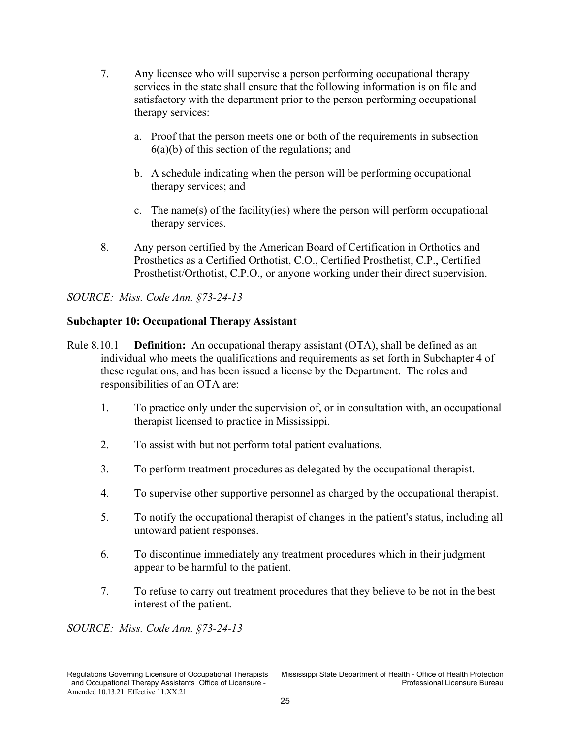- 7. Any licensee who will supervise a person performing occupational therapy services in the state shall ensure that the following information is on file and satisfactory with the department prior to the person performing occupational therapy services:
	- a. Proof that the person meets one or both of the requirements in subsection  $6(a)(b)$  of this section of the regulations; and
	- b. A schedule indicating when the person will be performing occupational therapy services; and
	- c. The name(s) of the facility(ies) where the person will perform occupational therapy services.
- 8. Any person certified by the American Board of Certification in Orthotics and Prosthetics as a Certified Orthotist, C.O., Certified Prosthetist, C.P., Certified Prosthetist/Orthotist, C.P.O., or anyone working under their direct supervision.

# <span id="page-28-0"></span>**Subchapter 10: Occupational Therapy Assistant**

- <span id="page-28-1"></span>Rule 8.10.1 **Definition:** An occupational therapy assistant (OTA), shall be defined as an individual who meets the qualifications and requirements as set forth in Subchapter 4 of these regulations, and has been issued a license by the Department. The roles and responsibilities of an OTA are:
	- 1. To practice only under the supervision of, or in consultation with, an occupational therapist licensed to practice in Mississippi.
	- 2. To assist with but not perform total patient evaluations.
	- 3. To perform treatment procedures as delegated by the occupational therapist.
	- 4. To supervise other supportive personnel as charged by the occupational therapist.
	- 5. To notify the occupational therapist of changes in the patient's status, including all untoward patient responses.
	- 6. To discontinue immediately any treatment procedures which in their judgment appear to be harmful to the patient.
	- 7. To refuse to carry out treatment procedures that they believe to be not in the best interest of the patient.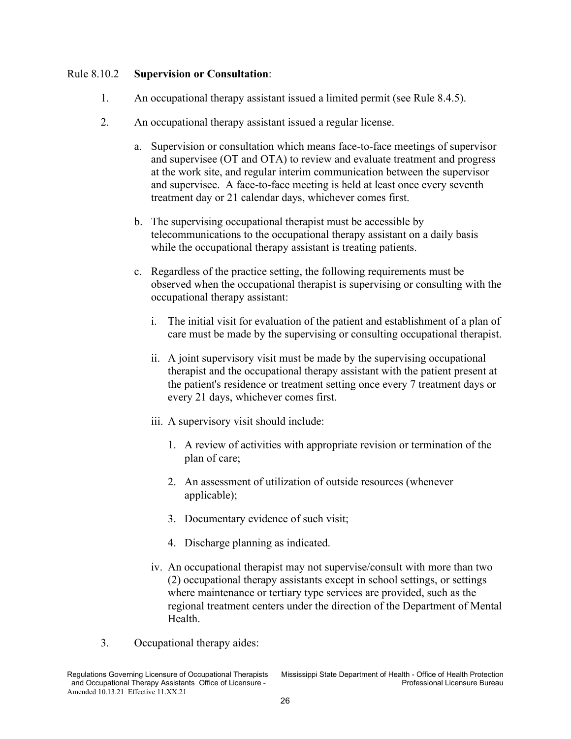#### <span id="page-29-0"></span>Rule 8.10.2 **Supervision or Consultation**:

- 1. An occupational therapy assistant issued a limited permit (see Rule 8.4.5).
- 2. An occupational therapy assistant issued a regular license.
	- a. Supervision or consultation which means face-to-face meetings of supervisor and supervisee (OT and OTA) to review and evaluate treatment and progress at the work site, and regular interim communication between the supervisor and supervisee. A face-to-face meeting is held at least once every seventh treatment day or 21 calendar days, whichever comes first.
	- b. The supervising occupational therapist must be accessible by telecommunications to the occupational therapy assistant on a daily basis while the occupational therapy assistant is treating patients.
	- c. Regardless of the practice setting, the following requirements must be observed when the occupational therapist is supervising or consulting with the occupational therapy assistant:
		- i. The initial visit for evaluation of the patient and establishment of a plan of care must be made by the supervising or consulting occupational therapist.
		- ii. A joint supervisory visit must be made by the supervising occupational therapist and the occupational therapy assistant with the patient present at the patient's residence or treatment setting once every 7 treatment days or every 21 days, whichever comes first.
		- iii. A supervisory visit should include:
			- 1. A review of activities with appropriate revision or termination of the plan of care;
			- 2. An assessment of utilization of outside resources (whenever applicable);
			- 3. Documentary evidence of such visit;
			- 4. Discharge planning as indicated.
		- iv. An occupational therapist may not supervise/consult with more than two (2) occupational therapy assistants except in school settings, or settings where maintenance or tertiary type services are provided, such as the regional treatment centers under the direction of the Department of Mental Health.
- 3. Occupational therapy aides:

and Occupational Therapy Assistants Office of Licensure -Amended 10.13.21 Effective 11.XX.21

Regulations Governing Licensure of Occupational Therapists Mississippi State Department of Health - Office of Health Protection<br>and Occupational Therapy Assistants Office of Licensure -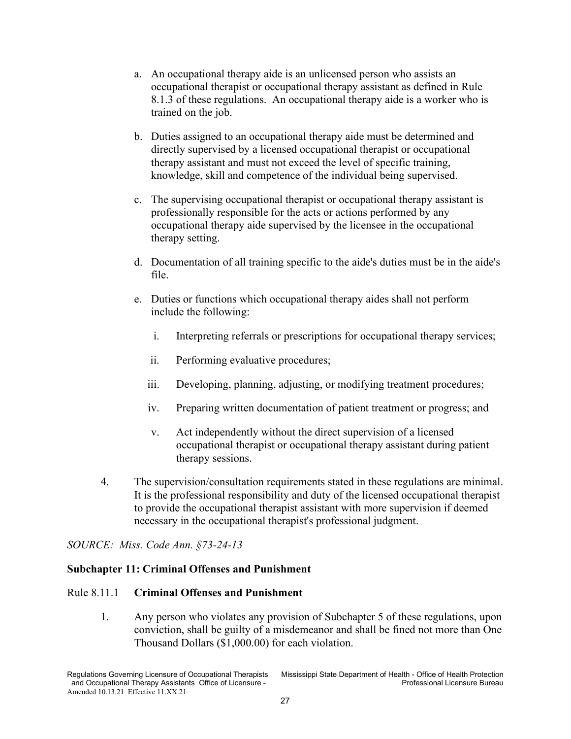- a. An occupational therapy aide is an unlicensed person who assists an occupational therapist or occupational therapy assistant as defined in Rule 8.1.3 of these regulations. An occupational therapy aide is a worker who is trained on the job.
- b. Duties assigned to an occupational therapy aide must be determined and directly supervised by a licensed occupational therapist or occupational therapy assistant and must not exceed the level of specific training, knowledge, skill and competence of the individual being supervised.
- c. The supervising occupational therapist or occupational therapy assistant is professionally responsible for the acts or actions performed by any occupational therapy aide supervised by the licensee in the occupational therapy setting.
- d. Documentation of all training specific to the aide's duties must be in the aide's file.
- e. Duties or functions which occupational therapy aides shall not perform include the following:
	- i. Interpreting referrals or prescriptions for occupational therapy services;
	- ii. Performing evaluative procedures;
	- iii. Developing, planning, adjusting, or modifying treatment procedures;
	- iv. Preparing written documentation of patient treatment or progress; and
	- v. Act independently without the direct supervision of a licensed occupational therapist or occupational therapy assistant during patient therapy sessions.
- 4. The supervision/consultation requirements stated in these regulations are minimal. It is the professional responsibility and duty of the licensed occupational therapist to provide the occupational therapist assistant with more supervision if deemed necessary in the occupational therapist's professional judgment.

#### <span id="page-30-0"></span>**Subchapter 11: Criminal Offenses and Punishment**

#### <span id="page-30-1"></span>Rule 8.11.1 **Criminal Offenses and Punishment**

1. Any person who violates any provision of Subchapter 5 of these regulations, upon conviction, shall be guilty of a misdemeanor and shall be fined not more than One Thousand Dollars (\$1,000.00) for each violation.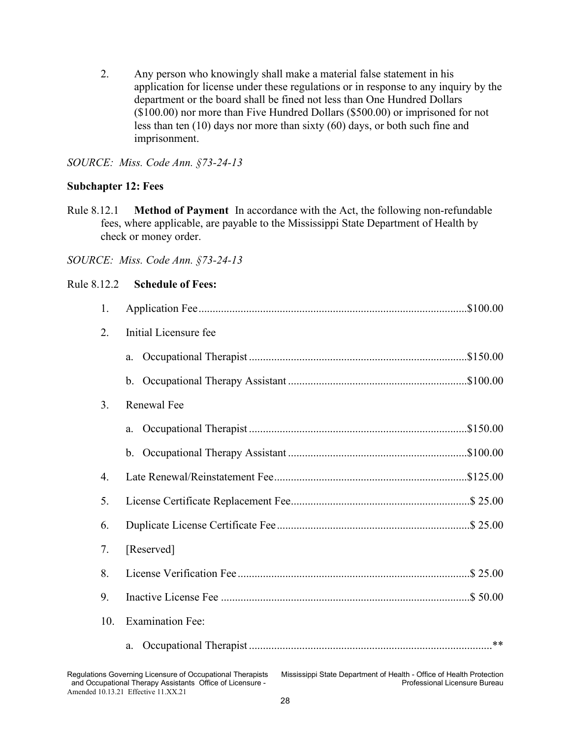2. Any person who knowingly shall make a material false statement in his application for license under these regulations or in response to any inquiry by the department or the board shall be fined not less than One Hundred Dollars (\$100.00) nor more than Five Hundred Dollars (\$500.00) or imprisoned for not less than ten (10) days nor more than sixty (60) days, or both such fine and imprisonment.

#### *SOURCE: Miss. Code Ann. §73-24-13*

#### <span id="page-31-0"></span>**Subchapter 12: Fees**

<span id="page-31-1"></span>Rule 8.12.1 **Method of Payment** In accordance with the Act, the following non-refundable fees, where applicable, are payable to the Mississippi State Department of Health by check or money order.

<span id="page-31-2"></span>

| Rule 8.12.2 | <b>Schedule of Fees:</b> |
|-------------|--------------------------|
|-------------|--------------------------|

| 1. |                                                                                                                                                                                                 |                               |
|----|-------------------------------------------------------------------------------------------------------------------------------------------------------------------------------------------------|-------------------------------|
| 2. | Initial Licensure fee                                                                                                                                                                           |                               |
|    | a.                                                                                                                                                                                              |                               |
|    |                                                                                                                                                                                                 |                               |
| 3. | Renewal Fee                                                                                                                                                                                     |                               |
|    | a.                                                                                                                                                                                              |                               |
|    |                                                                                                                                                                                                 |                               |
| 4. |                                                                                                                                                                                                 |                               |
| 5. |                                                                                                                                                                                                 |                               |
| 6. |                                                                                                                                                                                                 |                               |
| 7. | [Reserved]                                                                                                                                                                                      |                               |
| 8. |                                                                                                                                                                                                 |                               |
| 9. |                                                                                                                                                                                                 |                               |
|    | <b>Examination Fee:</b><br>10.                                                                                                                                                                  |                               |
|    | a.                                                                                                                                                                                              |                               |
|    | Regulations Governing Licensure of Occupational Therapists<br>Mississippi State Department of Health - Office of Health Protection<br>and Occupational Therapy Assistants Office of Licensure - | Professional Licensure Bureau |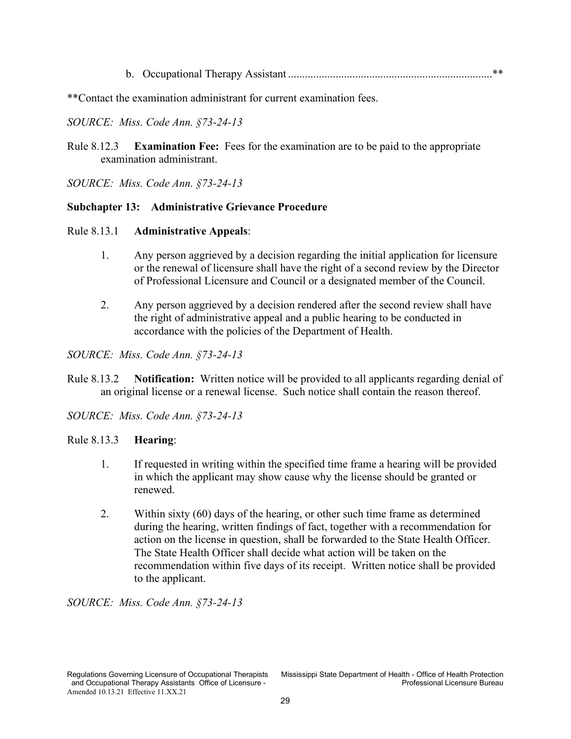b. Occupational Therapy Assistant .........................................................................\*\*

\*\*Contact the examination administrant for current examination fees.

#### *SOURCE: Miss. Code Ann. §73-24-13*

<span id="page-32-0"></span>Rule 8.12.3 **Examination Fee:** Fees for the examination are to be paid to the appropriate examination administrant.

*SOURCE: Miss. Code Ann. §73-24-13*

#### <span id="page-32-1"></span>**Subchapter 13: Administrative Grievance Procedure**

#### <span id="page-32-2"></span>Rule 8.13.1 **Administrative Appeals**:

- 1. Any person aggrieved by a decision regarding the initial application for licensure or the renewal of licensure shall have the right of a second review by the Director of Professional Licensure and Council or a designated member of the Council.
- 2. Any person aggrieved by a decision rendered after the second review shall have the right of administrative appeal and a public hearing to be conducted in accordance with the policies of the Department of Health.

*SOURCE: Miss. Code Ann. §73-24-13*

- <span id="page-32-3"></span>Rule 8.13.2 **Notification:** Written notice will be provided to all applicants regarding denial of an original license or a renewal license. Such notice shall contain the reason thereof.
- *SOURCE: Miss. Code Ann. §73-24-13*

#### <span id="page-32-4"></span>Rule 8.13.3 **Hearing**:

- 1. If requested in writing within the specified time frame a hearing will be provided in which the applicant may show cause why the license should be granted or renewed.
- 2. Within sixty (60) days of the hearing, or other such time frame as determined during the hearing, written findings of fact, together with a recommendation for action on the license in question, shall be forwarded to the State Health Officer. The State Health Officer shall decide what action will be taken on the recommendation within five days of its receipt. Written notice shall be provided to the applicant.